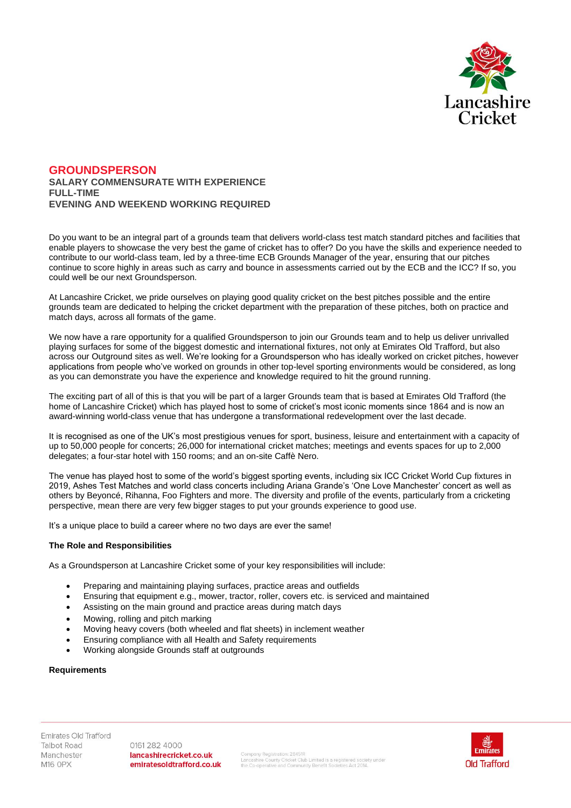

# **GROUNDSPERSON SALARY COMMENSURATE WITH EXPERIENCE FULL-TIME EVENING AND WEEKEND WORKING REQUIRED**

Do you want to be an integral part of a grounds team that delivers world-class test match standard pitches and facilities that enable players to showcase the very best the game of cricket has to offer? Do you have the skills and experience needed to contribute to our world-class team, led by a three-time ECB Grounds Manager of the year, ensuring that our pitches continue to score highly in areas such as carry and bounce in assessments carried out by the ECB and the ICC? If so, you could well be our next Groundsperson.

At Lancashire Cricket, we pride ourselves on playing good quality cricket on the best pitches possible and the entire grounds team are dedicated to helping the cricket department with the preparation of these pitches, both on practice and match days, across all formats of the game.

We now have a rare opportunity for a qualified Groundsperson to join our Grounds team and to help us deliver unrivalled playing surfaces for some of the biggest domestic and international fixtures, not only at Emirates Old Trafford, but also across our Outground sites as well. We're looking for a Groundsperson who has ideally worked on cricket pitches, however applications from people who've worked on grounds in other top-level sporting environments would be considered, as long as you can demonstrate you have the experience and knowledge required to hit the ground running.

The exciting part of all of this is that you will be part of a larger Grounds team that is based at Emirates Old Trafford (the home of Lancashire Cricket) which has played host to some of cricket's most iconic moments since 1864 and is now an award-winning world-class venue that has undergone a transformational redevelopment over the last decade.

It is recognised as one of the UK's most prestigious venues for sport, business, leisure and entertainment with a capacity of up to 50,000 people for concerts; 26,000 for international cricket matches; meetings and events spaces for up to 2,000 delegates; a four-star hotel with 150 rooms; and an on-site Caffè Nero.

The venue has played host to some of the world's biggest sporting events, including six ICC Cricket World Cup fixtures in 2019, Ashes Test Matches and world class concerts including Ariana Grande's 'One Love Manchester' concert as well as others by Beyoncé, Rihanna, Foo Fighters and more. The diversity and profile of the events, particularly from a cricketing perspective, mean there are very few bigger stages to put your grounds experience to good use.

It's a unique place to build a career where no two days are ever the same!

# **The Role and Responsibilities**

As a Groundsperson at Lancashire Cricket some of your key responsibilities will include:

- Preparing and maintaining playing surfaces, practice areas and outfields
- Ensuring that equipment e.g., mower, tractor, roller, covers etc. is serviced and maintained
- Assisting on the main ground and practice areas during match days
- Mowing, rolling and pitch marking
- Moving heavy covers (both wheeled and flat sheets) in inclement weather
- Ensuring compliance with all Health and Safety requirements
- Working alongside Grounds staff at outgrounds

#### **Requirements**

Emirates Old Trafford **Talbot Road** Manchester **M16 OPX** 

0161 282 4000 lancashirecricket.co.uk emiratesoldtrafford.co.uk

Company Registration: 28451R<br>Lancashire County Cricket Club Limited is a registered society under<br>the Co-operative and Community Benefit Societies Act 2014.